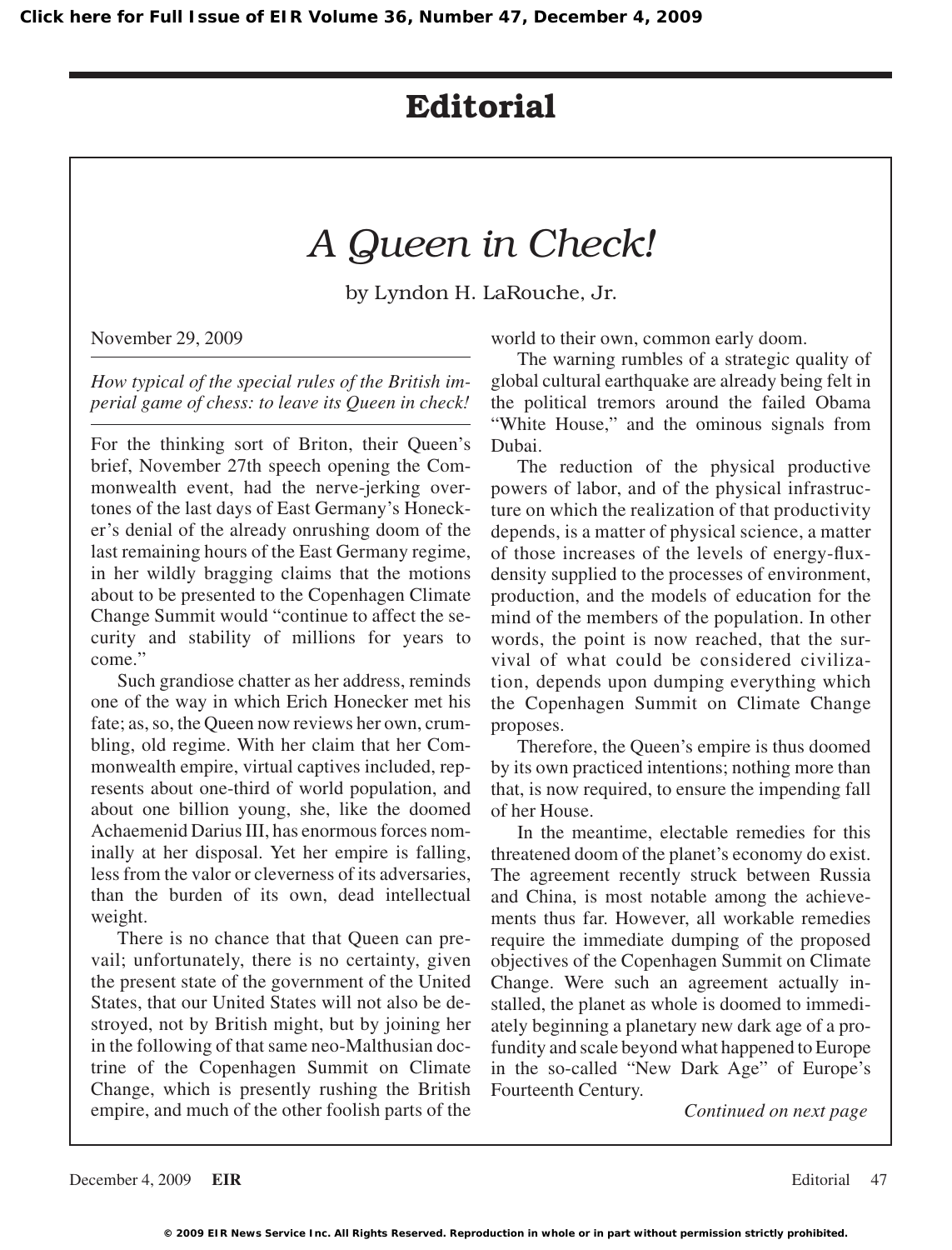## **Editorial**

## *A Queen in Check!*

by Lyndon H. LaRouche, Jr.

November 29, 2009

*How typical of the special rules of the British imperial game of chess: to leave its Queen in check!*

For the thinking sort of Briton, their Queen's brief, November 27th speech opening the Commonwealth event, had the nerve-jerking overtones of the last days of East Germany's Honecker's denial of the already onrushing doom of the last remaining hours of the East Germany regime, in her wildly bragging claims that the motions about to be presented to the Copenhagen Climate Change Summit would "continue to affect the security and stability of millions for years to come."

Such grandiose chatter as her address, reminds one of the way in which Erich Honecker met his fate; as, so, the Queen now reviews her own, crumbling, old regime. With her claim that her Commonwealth empire, virtual captives included, represents about one-third of world population, and about one billion young, she, like the doomed Achaemenid Darius III, has enormous forces nominally at her disposal. Yet her empire is falling, less from the valor or cleverness of its adversaries, than the burden of its own, dead intellectual weight.

There is no chance that that Queen can prevail; unfortunately, there is no certainty, given the present state of the government of the United States, that our United States will not also be destroyed, not by British might, but by joining her in the following of that same neo-Malthusian doctrine of the Copenhagen Summit on Climate Change, which is presently rushing the British empire, and much of the other foolish parts of the

world to their own, common early doom.

The warning rumbles of a strategic quality of global cultural earthquake are already being felt in the political tremors around the failed Obama "White House," and the ominous signals from Dubai.

The reduction of the physical productive powers of labor, and of the physical infrastructure on which the realization of that productivity depends, is a matter of physical science, a matter of those increases of the levels of energy-fluxdensity supplied to the processes of environment, production, and the models of education for the mind of the members of the population. In other words, the point is now reached, that the survival of what could be considered civilization, depends upon dumping everything which the Copenhagen Summit on Climate Change proposes.

Therefore, the Queen's empire is thus doomed by its own practiced intentions; nothing more than that, is now required, to ensure the impending fall of her House.

In the meantime, electable remedies for this threatened doom of the planet's economy do exist. The agreement recently struck between Russia and China, is most notable among the achievements thus far. However, all workable remedies require the immediate dumping of the proposed objectives of the Copenhagen Summit on Climate Change. Were such an agreement actually installed, the planet as whole is doomed to immediately beginning a planetary new dark age of a profundity and scale beyond what happened to Europe in the so-called "New Dark Age" of Europe's Fourteenth Century.

*Continued on next page*